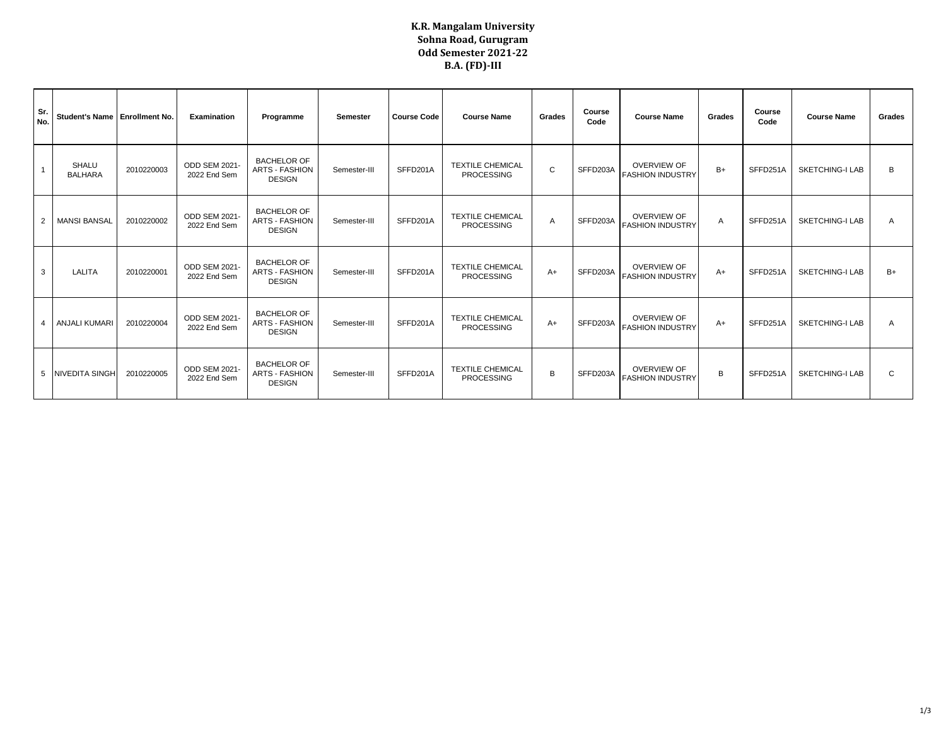## **K.R. Mangalam University Sohna Road, Gurugram Odd Semester 2021-22 B.A. (FD)-III**

| Sr.<br>No.     | Student's Name   Enrollment No. |            | Examination                   | Programme                                                    | Semester     | <b>Course Code</b> | <b>Course Name</b>                           | Grades | Course<br>Code | <b>Course Name</b>                            | Grades | Course<br>Code | <b>Course Name</b>     | Grades |
|----------------|---------------------------------|------------|-------------------------------|--------------------------------------------------------------|--------------|--------------------|----------------------------------------------|--------|----------------|-----------------------------------------------|--------|----------------|------------------------|--------|
|                | <b>SHALU</b><br><b>BALHARA</b>  | 2010220003 | ODD SEM 2021-<br>2022 End Sem | <b>BACHELOR OF</b><br><b>ARTS - FASHION</b><br><b>DESIGN</b> | Semester-III | SFFD201A           | <b>TEXTILE CHEMICAL</b><br><b>PROCESSING</b> | C      | SFFD203A       | <b>OVERVIEW OF</b><br><b>FASHION INDUSTRY</b> | $B+$   | SFFD251A       | <b>SKETCHING-I LAB</b> | B      |
| $\overline{2}$ | <b>MANSI BANSAL</b>             | 2010220002 | ODD SEM 2021-<br>2022 End Sem | <b>BACHELOR OF</b><br><b>ARTS - FASHION</b><br><b>DESIGN</b> | Semester-III | SFFD201A           | <b>TEXTILE CHEMICAL</b><br>PROCESSING        | A      | SFFD203A       | <b>OVERVIEW OF</b><br><b>FASHION INDUSTRY</b> | A      | SFFD251A       | <b>SKETCHING-I LAB</b> | A      |
| 3              | LALITA                          | 2010220001 | ODD SEM 2021-<br>2022 End Sem | <b>BACHELOR OF</b><br><b>ARTS - FASHION</b><br><b>DESIGN</b> | Semester-III | SFFD201A           | <b>TEXTILE CHEMICAL</b><br><b>PROCESSING</b> | $A+$   | SFFD203A       | <b>OVERVIEW OF</b><br><b>FASHION INDUSTRY</b> | $A+$   | SFFD251A       | <b>SKETCHING-I LAB</b> | B+     |
| $\overline{4}$ | <b>ANJALI KUMARI</b>            | 2010220004 | ODD SEM 2021-<br>2022 End Sem | <b>BACHELOR OF</b><br><b>ARTS - FASHION</b><br><b>DESIGN</b> | Semester-III | SFFD201A           | <b>TEXTILE CHEMICAL</b><br>PROCESSING        | $A+$   | SFFD203A       | <b>OVERVIEW OF</b><br><b>FASHION INDUSTRY</b> | $A+$   | SFFD251A       | <b>SKETCHING-I LAB</b> | A      |
| 5              | <b>NIVEDITA SINGH</b>           | 2010220005 | ODD SEM 2021-<br>2022 End Sem | <b>BACHELOR OF</b><br><b>ARTS - FASHION</b><br><b>DESIGN</b> | Semester-III | SFFD201A           | <b>TEXTILE CHEMICAL</b><br>PROCESSING        | B      | SFFD203A       | <b>OVERVIEW OF</b><br><b>FASHION INDUSTRY</b> | B      | SFFD251A       | SKETCHING-I LAB        | C      |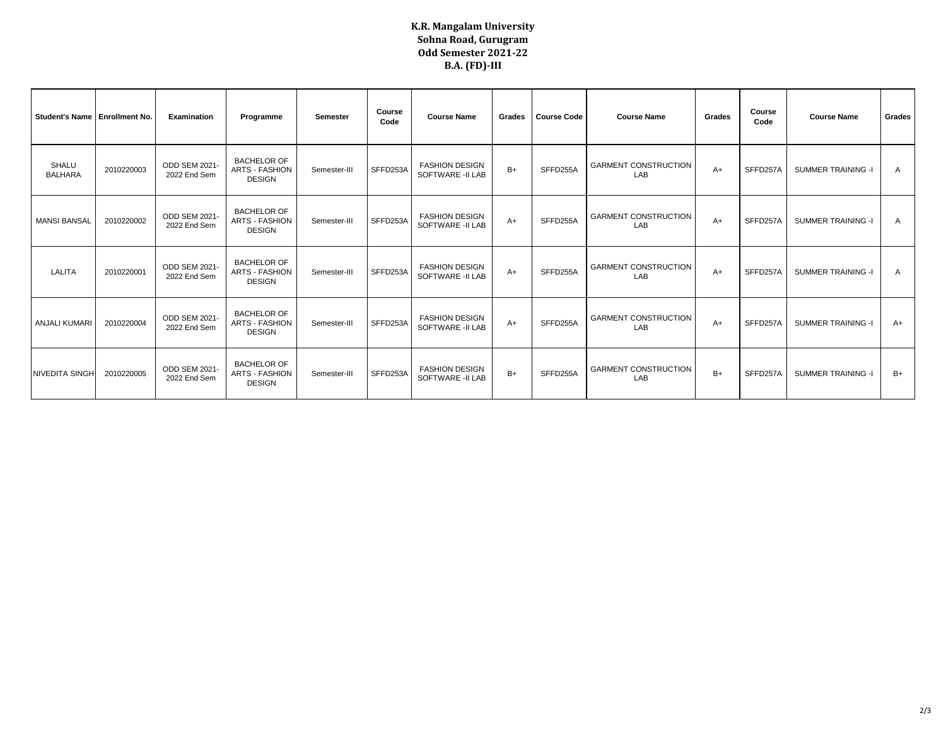## **K.R. Mangalam University Sohna Road, Gurugram Odd Semester 2021-22 B.A. (FD)-III**

| Student's Name   Enrollment No. |            | Examination                   | Programme                                                    | <b>Semester</b> | Course<br>Code | <b>Course Name</b>                         | Grades | <b>Course Code</b> | <b>Course Name</b>                 | Grades | Course<br>Code | <b>Course Name</b>        | Grades         |
|---------------------------------|------------|-------------------------------|--------------------------------------------------------------|-----------------|----------------|--------------------------------------------|--------|--------------------|------------------------------------|--------|----------------|---------------------------|----------------|
| <b>SHALU</b><br><b>BALHARA</b>  | 2010220003 | ODD SEM 2021-<br>2022 End Sem | <b>BACHELOR OF</b><br><b>ARTS - FASHION</b><br><b>DESIGN</b> | Semester-III    | SFFD253A       | <b>FASHION DESIGN</b><br>SOFTWARE -II LAB  | $B+$   | SFFD255A           | <b>GARMENT CONSTRUCTION</b><br>LAB | $A+$   | SFFD257A       | <b>SUMMER TRAINING -I</b> | A              |
| <b>MANSI BANSAL</b>             | 2010220002 | ODD SEM 2021-<br>2022 End Sem | <b>BACHELOR OF</b><br><b>ARTS - FASHION</b><br><b>DESIGN</b> | Semester-III    | SFFD253A       | <b>FASHION DESIGN</b><br>SOFTWARE -II LAB  | $A+$   | SFFD255A           | <b>GARMENT CONSTRUCTION</b><br>LAB | $A+$   | SFFD257A       | <b>SUMMER TRAINING -I</b> | $\overline{A}$ |
| LALITA                          | 2010220001 | ODD SEM 2021-<br>2022 End Sem | <b>BACHELOR OF</b><br><b>ARTS - FASHION</b><br><b>DESIGN</b> | Semester-III    | SFFD253A       | <b>FASHION DESIGN</b><br>SOFTWARE - II LAB | $A+$   | SFFD255A           | <b>GARMENT CONSTRUCTION</b><br>LAB | $A+$   | SFFD257A       | <b>SUMMER TRAINING -I</b> | A              |
| <b>ANJALI KUMAR</b>             | 2010220004 | ODD SEM 2021-<br>2022 End Sem | <b>BACHELOR OF</b><br><b>ARTS - FASHION</b><br><b>DESIGN</b> | Semester-III    | SFFD253A       | <b>FASHION DESIGN</b><br>SOFTWARE -II LAB  | $A+$   | SFFD255A           | <b>GARMENT CONSTRUCTION</b><br>LAB | $A+$   | SFFD257A       | <b>SUMMER TRAINING -I</b> | $A+$           |
| <b>NIVEDITA SINGH</b>           | 2010220005 | ODD SEM 2021-<br>2022 End Sem | <b>BACHELOR OF</b><br><b>ARTS - FASHION</b><br><b>DESIGN</b> | Semester-III    | SFFD253A       | <b>FASHION DESIGN</b><br>SOFTWARE - II LAB | $B+$   | SFFD255A           | <b>GARMENT CONSTRUCTION</b><br>LAB | B+     | SFFD257A       | <b>SUMMER TRAINING -I</b> | B+             |